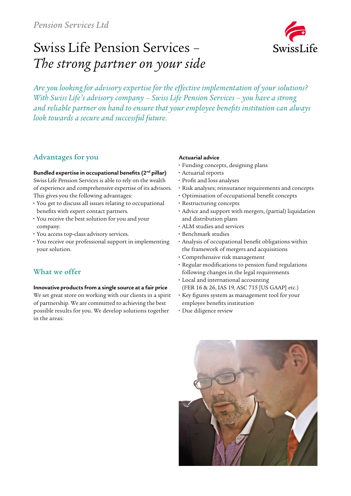# Swiss Life Pension Services – *The strong partner on your side*



*Are you looking for advisory expertise for the effective implementation of your solutions? With Swiss Life's advisory company – Swiss Life Pension Services – you have a strong and reliable partner on hand to ensure that your employee benefits institution can always look towards a secure and successful future.*

## Advantages for you

#### **Bundled expertise in occupational benefits (2nd pillar)**

Swiss Life Pension Services is able to rely on the wealth of experience and comprehensive expertise of its advisors. This gives you the following advantages:

- **•** You get to discuss all issues relating to occupational benefits with expert contact partners.
- **•** You receive the best solution for you and your company.
- **•** You access top-class advisory services.
- **•** You receive our professional support in implementing your solution.

# What we offer

### **Innovative products from a single source at a fair price**

We set great store on working with our clients in a spirit of partnership. We are committed to achieving the best possible results for you. We develop solutions together in the areas:

#### **Actuarial advice**

- **•** Funding concepts, designing plans
- **•** Actuarial reports
- **•** Profit and loss analyses
- **•** Risk analyses; reinsurance requirements and concepts
- **•** Optimisation of occupational benefit concepts
- **•** Restructuring concepts
- **•** Advice and support with mergers, (partial) liquidation and distribution plans
- **•** ALM studies and services
- **•** Benchmark studies
- **•** Analysis of occupational benefit obligations within the framework of mergers and acquisitions
- **•** Comprehensive risk management
- **•** Regular modifications to pension fund regulations following changes in the legal requirements
- **•** Local and international accounting (FER 16 & 26, IAS 19, ASC 715 [US GAAP] etc.)
- **•** Key figures system as management tool for your employee benefits institution
- **•** Due diligence review